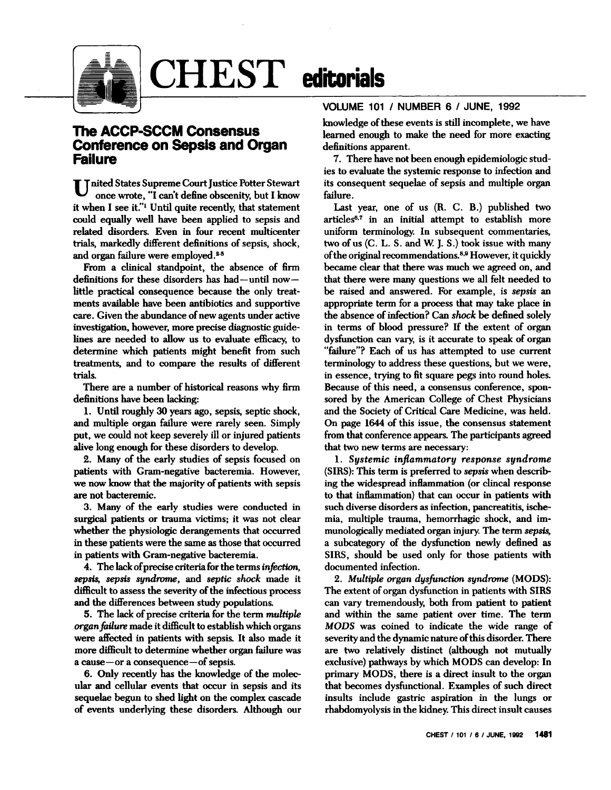

 $CHEST$  editorials

## The ACCP-SCCM Consensus Conference on sepsis and Organ Failure

 $\P$  J nited States Supreme Court Justice Potter Stewart once wrote, "I can't define obscenity, but I know it when I see it." $\blacksquare$  Until quite recently, that statement could equally well have been applied to sepsis and related disorders. Even in four recent multicenter trials, markedly different definitions of sepsis, shock, and organ failure were employed.2-5

From a clinical standpoint, the absence of firm definitions for these disorders has had-until nowlittle practical consequence because the only treatments available have been antibiotics and supportive care. Given the abundance of new agents under active investigation, however, more precise diagnostic guidelines are needed to allow us to evaluate efficacy, to determine which patients might benefit from such treatments, and to compare the results of different trials.

There are a number of historical reasons why firm definitions have been lacking:

1. Until roughly 30 years ago, sepsis, septic shock, and multiple organ failure were rarely seen. Simply put, we could not keep severely ill or injured patients alive long enough for these disorders to develop.

2. Many of the early studies of sepsis focused on patients with Gram-negative bacteremia. However, we now know that the majority of patients with sepsis are not bacteremic.

3. Many of the early studies were conducted in surgical patients or trauma victims; it was not clear whether the physiologic derangements that occurred in these patients were the same as those that occurred in patients with Gram-negative bacteremia.

4. The lack ofprecise criteria for the terms*infection, sepsis, sepsis syndrome,* and *septic shock* made it difficult to assess the severity of the infectious process and the differences between study populations.

5. The lack of precise criteria for the term *multiple organfailure* made it difficult to establish which organs were affected in patients with sepsis. It also made it more difficult to determine whether organ failure was a cause-or a consequence-of sepsis.

6. Only recently has the knowledge of the molecular and cellular events that occur in sepsis and its sequelae begun to shed light on the complex cascade of events underlying these disorders. Although our

### VOLUME 101 *I* NUMBER 6 *I* JUNE, 1992

knowledge of these events is still incomplete, we have learned enough to make the need for more exacting definitions apparent.

7. There have not been enough epidemiologic studies to evaluate the systemic response to infection and its consequent sequelae of sepsis and multiple organ failure.

Last year, one of us (R. C. B.) published two articles<sup>6,7</sup> in an initial attempt to establish more uniform terminology. In subsequent commentaries, two of us (C. L. S. and W. J. S.) took issue with many ofthe original recommendations.8,9 However, it quickly became clear that there was much we agreed on, and that there were many questions we all felt needed to be raised and answered. For example, is *sepsis* an appropriate term for a process that may take place in the absence of infection? Can *shock* be defined solely in terms of blood pressure? If the extent of organ dysfunction can vary, is it accurate to speak of organ "failure"? Each of us has attempted to use current terminology to address these questions, but we were, in essence, trying to fit square pegs into round holes. Because of this need, a consensus conference, sponsored by the American College of Chest Physicians and the Society of Critical Care Medicine, was held. On page 1644 of this issue, the consensus statement from that conference appears. The participants agreed that two new terms are necessary:

*1. Systemic inflammatory response syndrome* (SIRS): This term is preferred to *sepsis* when describing the widespread inflammation (or clincal response to that inHammation) that can occur in patients with such diverse disorders as infection, pancreatitis, ischemia, multiple trauma, hemorrhagic shock, and immunologically mediated organ injury. The term *sepsis*, a subcategory of the dysfunction newly defined as SIRS, should be used only for those patients with documented infection.

*2. Multiple organ dysfunction syndrome* (MODS): The extent of organ dysfunction in patients with SIRS can vary tremendously, both from patient to patient and within the same patient over time. The term *MODS* was coined to indicate the wide range of severity and the dynamic nature of this disorder. There are two relatively distinct (although not mutually exclusive) pathways by which MODS can develop: In primary MODS, there is a direct insult to the organ that becomes dysfunctional. Examples of such direct insults include gastric aspiration in the lungs or rhabdomyolysis in the kidney. This direct insult causes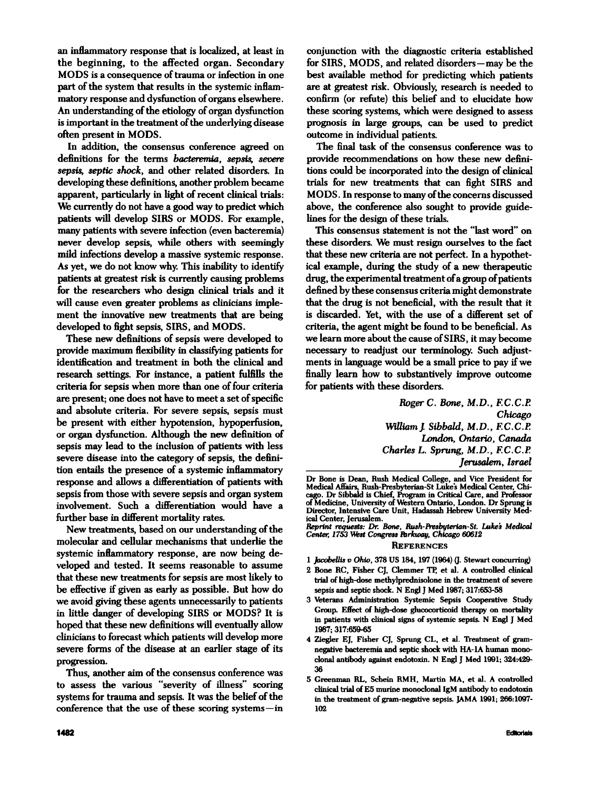an inHammatory response that is localized, at least in the beginning, to the affected organ. Secondary MODS is a consequence of trauma or infection in one part of the system that results in the systemic inflammatory response and dysfunction of organs elsewhere. An understanding of the etiology of organ dysfunction is important in the treatment of the underlying disease often present in MODS.

In addition, the consensus conference agreed on definitions for the terms *bactenmda, sepsis, severe sepsis, septic shock,* and other related disorders. In developing these definitions, another problem became apparent, particularly in light of recent clinical trials: We currently do not have a good way to predict which patients will develop SIRS or MODS. For example, many patients with severe infection (even bacteremia) never develop sepsis, while others with seemingly mild infections develop a massive systemic response. As yet, we do not know why. This inability to identify patients at greatest risk is currently causing problems for the researchers who design clinical trials and it will cause even greater problems as clinicians implement the innovative new treatments that are being developed to fight sepsis, SIRS, and MODS.

These new definitions of sepsis were developed to provide maximum flexibility in classifying patients for identification and treatment in both the clinical and research settings. For instance, a patient fulfills the criteria for sepsis when more than one of four criteria are present; one does not have to meet a set of specific and absolute criteria. For severe sepsis, sepsis must be present with either hypotension, hypoperfusion, or organ dysfunction. Although the new definition of sepsis may lead to the inclusion of patients with less severe disease into the category of sepsis, the definition entails the presence of a systemic inHammatory response and allows a differentiation of patients with sepsis from those with severe sepsis and organ system involvement. Such a differentiation would have a further base in different mortality rates.

New treatments, based on our understanding of the molecular and cellular mechanisms that underlie the systemic inHammatory response, are now being developed and tested. It seems reasonable to assume that these new treatments for sepsis are most likely to be effective if given as early as possible. But how do we avoid giving these agents unnecessarily to patients in little danger of developing SIRS or MODS? It is hoped that these new definitions will eventually allow clinicians to forecast which patients will develop more severe forms of the disease at an earlier stage of its progression.

Thus, another aim of the consensus conference was to assess the various "severity of illness" scoring systems for trauma and sepsis. It was the belief of the conference that the use of these scoring systems-in

conjunction with the diagnostic criteria established for SIRS, MODS, and related disorders-may be the best available method for predicting which patients are at greatest risk. Obviously, research is needed to confirm (or refute) this belief and to elucidate how these scoring systems, which were designed to assess prognosis in large groups, can be used to predict outcome in individual patients.

The final task of the consensus conference was to provide recommendations on how these new definitions could be incorporated into the design of clinical trials for new treatments that can fight SIRS and MODS. In response to many of the concerns discussed above, the conference also sought to provide guidelines for the design of these trials.

This consensus statement is not the "last word" on these disorders. We must resign ourselves to the fact that these new criteria are not perfect. In a hypothetical example, during the study of a new therapeutic drug, the experimental treatment of a group of patients defined by these consensus criteria might demonstrate that the drug is not beneficial, with the result that it is discarded. Yet, with the use of a different set of criteria, the agent might be found to be beneficial. As we learn more about the cause of SIRS, it may become necessary to readjust our terminology. Such adjustments in language would be a small price to pay if we finally learn how to substantively improve outcome for patients with these disorders.

> *Roger* C. *Bone, M.D., F.C.C.E Chicago William) Sibbald, M.D., F.C.C.E* london, *Ontario, Canada Charles* L. *Sprung, M.D., F.C.C.E Jerusalem, Israel*

Reprint *requests:* Dr. *Bone, Rush-Pr8sbyterian-St. LM1cei Medical* Center, 1753 West Congress Parkway, Chicago 60612

#### **REFERENCES**

- 1 *Jacobellis v Ohio*, 378 US 184, 197 (1964) (J. Stewart concurring)
- 2 Bone RC, Fisher CJ, Clemmer TP, et al. A controlled clinical trial of high-dose methylprednisolone in the treatment of severe sepsis and septic shock. N Engl J Med 1987; 317:653-58
- 3 Veterans Administration Systemic Sepsis Cooperative Study Group. Effect of high-dose glucocorticoid therapy on mortality in patients with clinical signs of systemic sepsis. N Engl J Med 1987; 317:659-65
- 4 Ziegler EJ, Fisher CJ, Sprung CL, et al. Treatment of gramnegative bacteremia and septic shock with HA-IA human monoclonal antibody against endotoxin. N Engl J Med 1991; 324:429-36
- 5 Greenman RL, Schein RMH, Martin MA, et al. A controlled clinical trial ofE5 murine monoclonal IgM antibody to endotoxin in the treatment of gram-negative sepsis. JAMA 1991; 266:1097- 102

Dr Bone is Dean, Rush Medical College, and Vice President for Medical AfFairs, Rush-Presbyterian-St Lukes Medical Center, Chi cago. Dr Sibbald is Chief, Program in Critical Care, and Professor of Medicine, University of Western Ontario, London. Dr Sprung is Director, Intensive Care Unit, Hadassah Hebrew University Medical Center, Jerusalem.